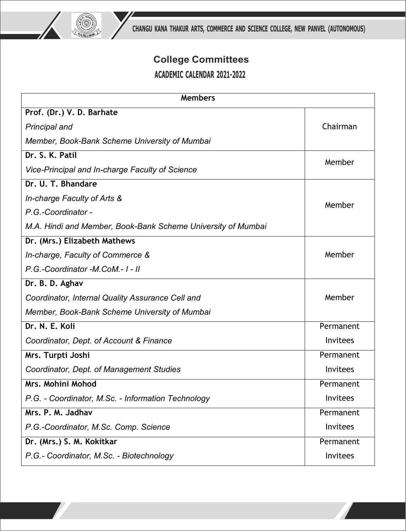

## **College Committees ACADEMIC CALENDAR 2021-2022**

| <b>Members</b>                                               |                 |
|--------------------------------------------------------------|-----------------|
| Prof. (Dr.) V. D. Barhate                                    |                 |
| <b>Principal and</b>                                         | Chairman        |
| Member, Book-Bank Scheme University of Mumbai                |                 |
| Dr. S. K. Patil                                              | Member          |
| Vice-Principal and In-charge Faculty of Science              |                 |
| Dr. U. T. Bhandare                                           |                 |
| In-charge Faculty of Arts &                                  | Member          |
| P.G.-Coordinator -                                           |                 |
| M.A. Hindi and Member, Book-Bank Scheme University of Mumbai |                 |
| Dr. (Mrs.) Elizabeth Mathews                                 |                 |
| In-charge, Faculty of Commerce &                             | Member          |
| P.G.-Coordinator-M.CoM.-1-II                                 |                 |
| Dr. B. D. Aghav                                              |                 |
| Coordinator, Internal Quality Assurance Cell and             | Member          |
| Member, Book-Bank Scheme University of Mumbai                |                 |
| Dr. N. E. Koli                                               | Permanent       |
| Coordinator, Dept. of Account & Finance                      | Invitees        |
| Mrs. Turpti Joshi                                            | Permanent       |
| Coordinator, Dept. of Management Studies                     | Invitees        |
| Mrs. Mohini Mohod                                            | Permanent       |
| P.G. - Coordinator, M.Sc. - Information Technology           | Invitees        |
| Mrs. P. M. Jadhav                                            | Permanent       |
| P.G.-Coordinator, M.Sc. Comp. Science                        | Invitees        |
| Dr. (Mrs.) S. M. Kokitkar                                    | Permanent       |
| P.G.- Coordinator, M.Sc. - Biotechnology                     | <b>Invitees</b> |